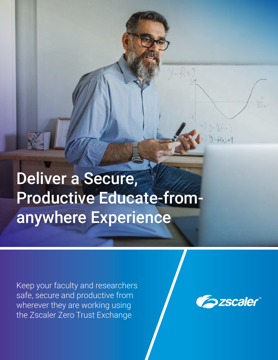# Deliver a Secure, Productive Educate-fromanywhere Experience

Keep your faculty and researchers safe, secure and productive from wherever they are working using the Zscaler Zero Trust Exchange

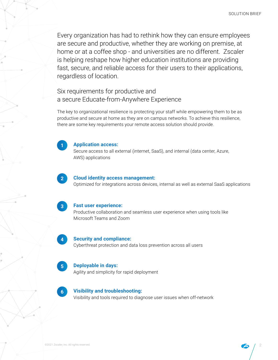Every organization has had to rethink how they can ensure employees are secure and productive, whether they are working on premise, at home or at a coffee shop - and universities are no different. Zscaler is helping reshape how higher education institutions are providing fast, secure, and reliable access for their users to their applications, regardless of location.

Six requirements for productive and a secure Educate-from-Anywhere Experience

The key to organizational resilience is protecting your staff while empowering them to be as productive and secure at home as they are on campus networks. To achieve this resilience, there are some key requirements your remote access solution should provide.



#### **Application access:**

Secure access to all external (internet, SaaS), and internal (data center, Azure, AWS) applications



#### **Cloud identity access management:**

Optimized for integrations across devices, internal as well as external SaaS applications



#### **Fast user experience:**

Productive collaboration and seamless user experience when using tools like Microsoft Teams and Zoom



#### **Security and compliance:**

Cyberthreat protection and data loss prevention across all users



#### **Deployable in days:**

Agility and simplicity for rapid deployment



#### **Visibility and troubleshooting:**

Visibility and tools required to diagnose user issues when off-network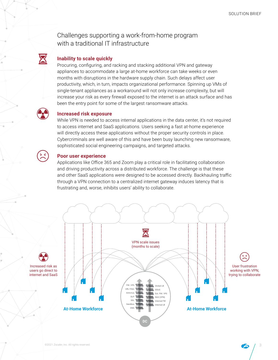Challenges supporting a work-from-home program with a traditional IT infrastructure

#### **Inability to scale quickly**

Procuring, configuring, and racking and stacking additional VPN and gateway appliances to accommodate a large at-home workforce can take weeks or even months with disruptions in the hardware supply chain. Such delays affect user productivity, which, in turn, impacts organizational performance. Spinning up VMs of single-tenant appliances as a workaround will not only increase complexity, but will increase your risk as every firewall exposed to the internet is an attack surface and has been the entry point for some of the largest ransomware attacks.



 $\mathbf{\Sigma}$ 

#### **Increased risk exposure**

While VPN is needed to access internal applications in the data center, it's not required to access internet and SaaS applications. Users seeking a fast at-home experience will directly access these applications without the proper security controls in place. Cybercriminals are well aware of this and have been busy launching new ransomware, sophisticated social engineering campaigns, and targeted attacks.



#### **Poor user experience**

Applications like Office 365 and Zoom play a critical role in facilitating collaboration and driving productivity across a distributed workforce. The challenge is that these and other SaaS applications were designed to be accessed directly. Backhauling traffic through a VPN connection to a centralized internet gateway induces latency that is frustrating and, worse, inhibits users' ability to collaborate.

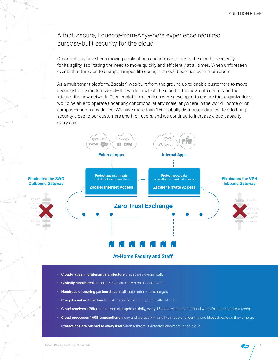# A fast, secure, Educate-from-Anywhere experience requires purpose-built security for the cloud

Organizations have been moving applications and infrastructure to the cloud specifically for its agility, facilitating the need to move quickly and efficiently at all times. When unforeseen events that threaten to disrupt campus life occur, this need becomes even more acute.

As a multitenant platform, Zscaler™ was built from the ground up to enable customers to move securely to the modern world—the world in which the cloud is the new data center and the internet the new network. Zscaler platform services were developed to ensure that organizations would be able to operate under any conditions, at any scale, anywhere in the world—home or on campus—and on any device. We have more than 150 globally distributed data centers to bring security close to our customers and their users, and we continue to increase cloud capacity every day.



#### **At-Home Faculty and Staff**

- **• Cloud-native, multitenant architecture** that scales dynamically
- **• Globally distributed** across 150+ data centers on six continents
- **• Hundreds of peering partnerships** in all major internet exchanges
- **• Proxy-based architecture** for full inspection of encrypted traffic at scale
- **• Cloud receives 175K+** unique security updates daily, every 15 minutes and on demand with 40+ external threat feeds
- **• Cloud processes 160B transactions** a day and we apply AI and ML models to identify and block threats as they emerge
- **• Protections are pushed to every user** when a threat is detected anywhere in the cloud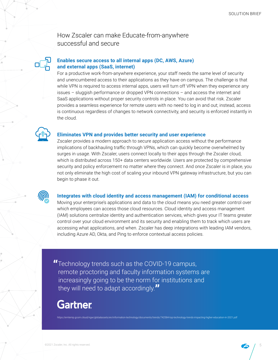How Zscaler can make Educate-from-anywhere successful and secure

#### **Enables secure access to all internal apps (DC, AWS, Azure) and external apps (SaaS, internet)**

For a productive work-from-anywhere experience, your staff needs the same level of security and unencumbered access to their applications as they have on campus. The challenge is that while VPN is required to access internal apps, users will turn off VPN when they experience any issues – sluggish performance or dropped VPN connections – and access the internet and SaaS applications without proper security controls in place. You can avoid that risk. Zscaler provides a seamless experience for remote users with no need to log in and out; instead, access is continuous regardless of changes to network connectivity, and security is enforced instantly in the cloud.



#### **Eliminates VPN and provides better security and user experience**

Zscaler provides a modern approach to secure application access without the performance implications of backhauling traffic through VPNs, which can quickly become overwhelmed by surges in usage. With Zscaler, users connect locally to their apps through the Zscaler cloud, which is distributed across 150+ data centers worldwide. Users are protected by comprehensive security and policy enforcement no matter where they connect. And once Zscaler is in place, you not only eliminate the high cost of scaling your inbound VPN gateway infrastructure, but you can begin to phase it out.



#### **Integrates with cloud identity and access management (IAM) for conditional access**

Moving your enterprise's applications and data to the cloud means you need greater control over which employees can access those cloud resources. Cloud identity and access management (IAM) solutions centralize identity and authentication services, which gives your IT teams greater control over your cloud environment and its security and enabling them to track which users are accessing what applications, and when. Zscaler has deep integrations with leading IAM vendors, including Azure AD, Okta, and Ping to enforce contextual access policies.

**"**Technology trends such as the COVID-19 campus, remote proctoring and faculty information systems are increasingly going to be the norm for institutions and they will need to adapt accordingly.**"**

# **Gartner**

<https://emtemp.gcom.cloud/ngw/globalassets/en/information-technology/documents/trends/742584-top-technology-trends-impacting-higher-education-in-2021.pdf>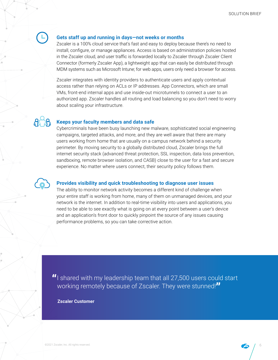#### **Gets staff up and running in days—not weeks or months**

Zscaler is a 100% cloud service that's fast and easy to deploy because there's no need to install, configure, or manage appliances. Access is based on administration policies hosted in the Zscaler cloud, and user traffic is forwarded locally to Zscaler through Zscaler Client Connector (formerly Zscaler App), a lightweight app that can easily be distributed through MDM systems such as Microsoft Intune; for web apps, users only need a browser for access.

Zscaler integrates with identity providers to authenticate users and apply contextual access rather than relying on ACLs or IP addresses. App Connectors, which are small VMs, front-end internal apps and use inside-out microtunnels to connect a user to an authorized app. Zscaler handles all routing and load balancing so you don't need to worry about scaling your infrastructure.

#### **Keeps your faculty members and data safe**

Cybercriminals have been busy launching new malware, sophisticated social engineering campaigns, targeted attacks, and more, and they are well aware that there are many users working from home that are usually on a campus network behind a security perimeter. By moving security to a globally distributed cloud, Zscaler brings the full internet security stack (advanced threat protection, SSL inspection, data loss prevention, sandboxing, remote browser isolation, and CASB) close to the user for a fast and secure experience. No matter where users connect, their security policy follows them.

#### **Provides visibility and quick troubleshooting to diagnose user issues**

The ability to monitor network activity becomes a different kind of challenge when your entire staff is working from home, many of them on unmanaged devices, and your network is the internet. In addition to real-time visibility into users and applications, you need to be able to see exactly what is going on at every point between a user's device and an application's front door to quickly pinpoint the source of any issues causing performance problems, so you can take corrective action.

**"**I shared with my leadership team that all 27,500 users could start working remotely because of Zscaler. They were stunned!**"**

**Zscaler Customer**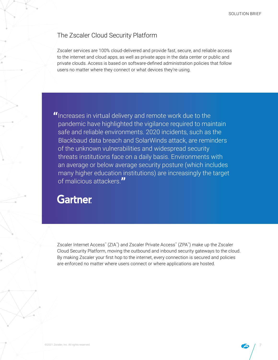# The Zscaler Cloud Security Platform

Zscaler services are 100% cloud-delivered and provide fast, secure, and reliable access to the internet and cloud apps, as well as private apps in the data center or public and private clouds. Access is based on software-defined administration policies that follow users no matter where they connect or what devices they're using.

**"**Increases in virtual delivery and remote work due to the pandemic have highlighted the vigilance required to maintain safe and reliable environments. 2020 incidents, such as the Blackbaud data breach and SolarWinds attack, are reminders of the unknown vulnerabilities and widespread security threats institutions face on a daily basis. Environments with an average or below average security posture (which includes many higher education institutions) are increasingly the target of malicious attackers.**"**

# **Gartner**

Zscaler Internet Access™ (ZIA™) and Zscaler Private Access™ (ZPA™) make up the Zscaler Cloud Security Platform, moving the outbound and inbound security gateways to the cloud. By making Zscaler your first hop to the internet, every connection is secured and policies are enforced no matter where users connect or where applications are hosted.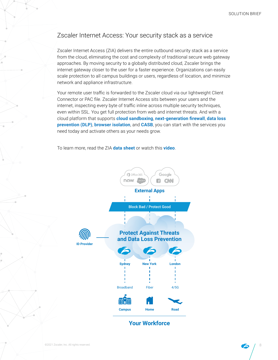# Zscaler Internet Access: Your security stack as a service

Zscaler Internet Access (ZIA) delivers the entire outbound security stack as a service from the cloud, eliminating the cost and complexity of traditional secure web gateway approaches. By moving security to a globally distributed cloud, Zscaler brings the internet gateway closer to the user for a faster experience. Organizations can easily scale protection to all campus buildings or users, regardless of location, and minimize network and appliance infrastructure.

Your remote user traffic is forwarded to the Zscaler cloud via our lightweight Client Connector or PAC file. Zscaler Internet Access sits between your users and the internet, inspecting every byte of traffic inline across multiple security techniques, even within SSL. You get full protection from web and internet threats. And with a cloud platform that supports **cloud sandboxing**, **next-generation firewall**, **data loss prevention (DLP)**, **browser isolation**, and **CASB**, you can start with the services you need today and activate others as your needs grow.

To learn more, read the ZIA **[data sheet](https://www.zscaler.com/resources/data-sheets/zscaler-internet-access.pdf)** or watch this **[video](https://www.youtube.com/watch?v=kaKe_ipcrKY&feature=youtu.be)**.



## **Your Workforce**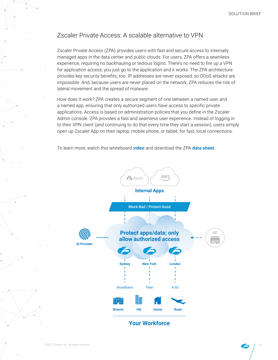# Zscaler Private Access: A scalable alternative to VPN

Zscaler Private Access (ZPA) provides users with fast and secure access to internally managed apps in the data center and public clouds. For users, ZPA offers a seamless experience, requiring no backhauling or tedious logins. There's no need to fire up a VPN for application access; you just go to the application and it works. The ZPA architecture provides key security benefits, too. IP addresses are never exposed, so DDoS attacks are impossible. And, because users are never placed on the network, ZPA reduces the risk of lateral movement and the spread of malware.

How does it work? ZPA creates a secure segment of one between a named user and a named app, ensuring that only authorized users have access to specific private applications. Access is based on administration policies that you define in the Zscaler Admin console. ZPA provides a fast and seamless user experience. Instead of logging in to their VPN client (and continuing to do that every time they start a session), users simply open up Zscaler App on their laptop, mobile phone, or tablet, for fast, local connections.

To learn more, watch this whiteboard **[video](https://www.youtube.com/watch?v=Y_Pmj39AOWE)** and download the ZPA **[data sheet](https://www.zscaler.com/resources/data-sheets/zscaler-private-access.pdf)**.



### **Your Workforce**